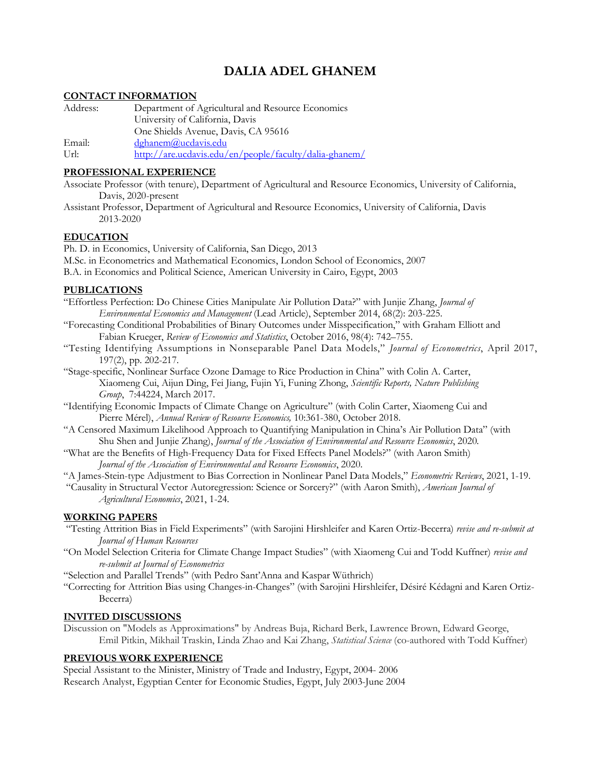# **DALIA ADEL GHANEM**

# **CONTACT INFORMATION**

| Address: | Department of Agricultural and Resource Economics      |  |
|----------|--------------------------------------------------------|--|
|          | University of California, Davis                        |  |
|          | One Shields Avenue, Davis, CA 95616                    |  |
| Email:   | dghanem@ucdavis.edu                                    |  |
| $U$ rl:  | http://are.ucdavis.edu/en/people/faculty/dalia-ghanem/ |  |

#### **PROFESSIONAL EXPERIENCE**

Associate Professor (with tenure), Department of Agricultural and Resource Economics, University of California, Davis, 2020-present

Assistant Professor, Department of Agricultural and Resource Economics, University of California, Davis 2013-2020

#### **EDUCATION**

Ph. D. in Economics, University of California, San Diego, 2013

M.Sc. in Econometrics and Mathematical Economics, London School of Economics, 2007

B.A. in Economics and Political Science, American University in Cairo, Egypt, 2003

#### **PUBLICATIONS**

"Effortless Perfection: Do Chinese Cities Manipulate Air Pollution Data?" with Junjie Zhang, *Journal of Environmental Economics and Management* (Lead Article), September 2014, 68(2): 203-225.

- "Forecasting Conditional Probabilities of Binary Outcomes under Misspecification," with Graham Elliott and Fabian Krueger, *Review of Economics and Statistics*, October 2016, 98(4): 742–755.
- "Testing Identifying Assumptions in Nonseparable Panel Data Models," *Journal of Econometrics*, April 2017, 197(2), pp. 202-217.
- "Stage-specific, Nonlinear Surface Ozone Damage to Rice Production in China" with Colin A. Carter, Xiaomeng Cui, Aijun Ding, Fei Jiang, Fujin Yi, Funing Zhong, *Scientific Reports, Nature Publishing Group*, 7:44224, March 2017.
- "Identifying Economic Impacts of Climate Change on Agriculture" (with Colin Carter, Xiaomeng Cui and Pierre Mérel), *Annual Review of Resource Economics,* 10:361-380, October 2018.
- "A Censored Maximum Likelihood Approach to Quantifying Manipulation in China's Air Pollution Data" (with Shu Shen and Junjie Zhang), *Journal of the Association of Environmental and Resource Economics*, 2020*.*
- "What are the Benefits of High-Frequency Data for Fixed Effects Panel Models?" (with Aaron Smith) *Journal of the Association of Environmental and Resource Economics*, 2020*.*

"A James-Stein-type Adjustment to Bias Correction in Nonlinear Panel Data Models," *Econometric Reviews*, 2021, 1-19.

"Causality in Structural Vector Autoregression: Science or Sorcery?" (with Aaron Smith), *American Journal of Agricultural Economics*, 2021, 1-24.

# **WORKING PAPERS**

"Testing Attrition Bias in Field Experiments" (with Sarojini Hirshleifer and Karen Ortiz-Becerra) *revise and re-submit at Journal of Human Resources*

"On Model Selection Criteria for Climate Change Impact Studies" (with Xiaomeng Cui and Todd Kuffner) *revise and re-submit at Journal of Econometrics*

"Selection and Parallel Trends" (with Pedro Sant'Anna and Kaspar Wüthrich)

"Correcting for Attrition Bias using Changes-in-Changes" (with Sarojini Hirshleifer, Désiré Kédagni and Karen Ortiz-Becerra)

# **INVITED DISCUSSIONS**

Discussion on "Models as Approximations" by Andreas Buja, Richard Berk, Lawrence Brown, Edward George, Emil Pitkin, Mikhail Traskin, Linda Zhao and Kai Zhang, *Statistical Science* (co-authored with Todd Kuffner)

# **PREVIOUS WORK EXPERIENCE**

Special Assistant to the Minister, Ministry of Trade and Industry, Egypt, 2004- 2006 Research Analyst, Egyptian Center for Economic Studies, Egypt, July 2003-June 2004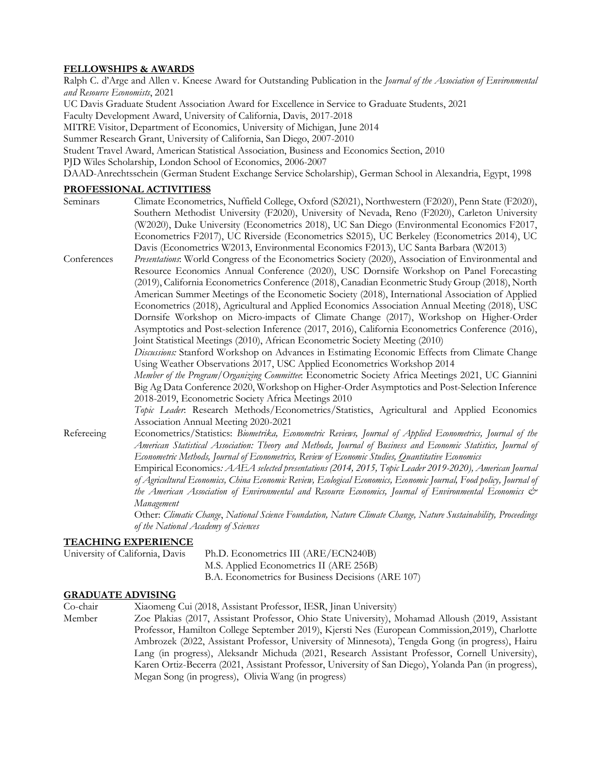# **FELLOWSHIPS & AWARDS**

Ralph C. d'Arge and Allen v. Kneese Award for Outstanding Publication in the *Journal of the Association of Environmental and Resource Economists*, 2021

UC Davis Graduate Student Association Award for Excellence in Service to Graduate Students, 2021

Faculty Development Award, University of California, Davis, 2017-2018

MITRE Visitor, Department of Economics, University of Michigan, June 2014

Summer Research Grant, University of California, San Diego, 2007-2010

Student Travel Award, American Statistical Association, Business and Economics Section, 2010

PJD Wiles Scholarship, London School of Economics, 2006-2007

DAAD-Anrechtsschein (German Student Exchange Service Scholarship), German School in Alexandria, Egypt, 1998

# **PROFESSIONAL ACTIVITIESS**

| Seminars    | Climate Econometrics, Nuffield College, Oxford (S2021), Northwestern (F2020), Penn State (F2020),                                                     |
|-------------|-------------------------------------------------------------------------------------------------------------------------------------------------------|
|             | Southern Methodist University (F2020), University of Nevada, Reno (F2020), Carleton University                                                        |
|             | (W2020), Duke University (Econometrics 2018), UC San Diego (Environmental Economics F2017,                                                            |
|             | Econometrics F2017), UC Riverside (Econometrics S2015), UC Berkeley (Econometrics 2014), UC                                                           |
|             | Davis (Econometrics W2013, Environmental Economics F2013), UC Santa Barbara (W2013)                                                                   |
| Conferences | Presentations: World Congress of the Econometrics Society (2020), Association of Environmental and                                                    |
|             | Resource Economics Annual Conference (2020), USC Dornsife Workshop on Panel Forecasting                                                               |
|             | (2019), California Econometrics Conference (2018), Canadian Econmetric Study Group (2018), North                                                      |
|             | American Summer Meetings of the Econometic Society (2018), International Association of Applied                                                       |
|             | Econometrics (2018), Agricultural and Applied Economics Association Annual Meeting (2018), USC                                                        |
|             | Dornsife Workshop on Micro-impacts of Climate Change (2017), Workshop on Higher-Order                                                                 |
|             | Asymptotics and Post-selection Inference (2017, 2016), California Econometrics Conference (2016),                                                     |
|             | Joint Statistical Meetings (2010), African Econometric Society Meeting (2010)                                                                         |
|             | Discussions: Stanford Workshop on Advances in Estimating Economic Effects from Climate Change                                                         |
|             | Using Weather Observations 2017, USC Applied Econometrics Workshop 2014                                                                               |
|             | Member of the Program/Organizing Committee. Econometric Society Africa Meetings 2021, UC Giannini                                                     |
|             | Big Ag Data Conference 2020, Workshop on Higher-Order Asymptotics and Post-Selection Inference                                                        |
|             | 2018-2019, Econometric Society Africa Meetings 2010                                                                                                   |
|             | Topic Leader. Research Methods/Econometrics/Statistics, Agricultural and Applied Economics                                                            |
|             | Association Annual Meeting 2020-2021                                                                                                                  |
| Refereeing  | Econometrics/Statistics: Biometrika, Econometric Reviews, Journal of Applied Econometrics, Journal of the                                             |
|             | American Statistical Association: Theory and Methods, Journal of Business and Economic Statistics, Journal of                                         |
|             | Econometric Methods, Journal of Econometrics, Review of Economic Studies, Quantitative Economics                                                      |
|             | Empirical Economics: AAEA selected presentations (2014, 2015, Topic Leader 2019-2020), American Journal                                               |
|             | of Agricultural Economics, China Economic Review, Ecological Economics, Economic Journal, Food policy, Journal of                                     |
|             | the American Association of Environmental and Resource Economics, Journal of Environmental Economics &                                                |
|             | Management                                                                                                                                            |
|             | Other: Climatic Change, National Science Foundation, Nature Climate Change, Nature Sustainability, Proceedings<br>of the National Academy of Sciences |
|             | TE ACLIINC EVDEDIENCE                                                                                                                                 |

#### **TEACHING EXPERIENCE**

| University of California, Davis | Ph.D. Econometrics III (ARE/ECN240B)               |
|---------------------------------|----------------------------------------------------|
|                                 | M.S. Applied Econometrics II (ARE 256B)            |
|                                 | B.A. Econometrics for Business Decisions (ARE 107) |

# **GRADUATE ADVISING**

Co-chair Xiaomeng Cui (2018, Assistant Professor, IESR, Jinan University)

Member Zoe Plakias (2017, Assistant Professor, Ohio State University), Mohamad Alloush (2019, Assistant Professor, Hamilton College September 2019), Kjersti Nes (European Commission,2019), Charlotte Ambrozek (2022, Assistant Professor, University of Minnesota), Tengda Gong (in progress), Hairu Lang (in progress), Aleksandr Michuda (2021, Research Assistant Professor, Cornell University), Karen Ortiz-Becerra (2021, Assistant Professor, University of San Diego), Yolanda Pan (in progress), Megan Song (in progress), Olivia Wang (in progress)